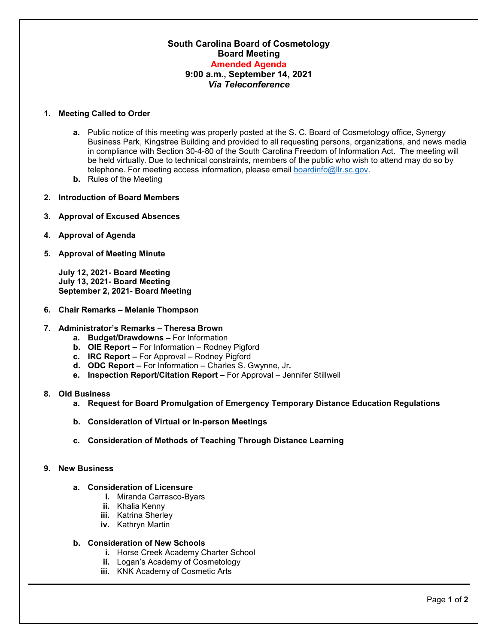# **South Carolina Board of Cosmetology Board Meeting Amended Agenda 9:00 a.m., September 14, 2021** *Via Teleconference*

### **1. Meeting Called to Order**

- **a.** Public notice of this meeting was properly posted at the S. C. Board of Cosmetology office, Synergy Business Park, Kingstree Building and provided to all requesting persons, organizations, and news media in compliance with Section 30-4-80 of the South Carolina Freedom of Information Act. The meeting will be held virtually. Due to technical constraints, members of the public who wish to attend may do so by telephone. For meeting access information, please email [boardinfo@llr.sc.gov.](mailto:boardinfo@llr.sc.gov)
- **b.** Rules of the Meeting
- **2. Introduction of Board Members**
- **3. Approval of Excused Absences**
- **4. Approval of Agenda**
- **5. Approval of Meeting Minute**

**July 12, 2021- Board Meeting July 13, 2021- Board Meeting September 2, 2021- Board Meeting**

**6. Chair Remarks – Melanie Thompson**

#### **7. Administrator's Remarks – Theresa Brown**

- **a. Budget/Drawdowns –** For Information
- **b. OIE Report –** For Information Rodney Pigford
- **c. IRC Report –** For Approval Rodney Pigford
- **d. ODC Report –** For Information Charles S. Gwynne, Jr**.**
- **e. Inspection Report/Citation Report –** For Approval Jennifer Stillwell

#### **8. Old Business**

- **a. Request for Board Promulgation of Emergency Temporary Distance Education Regulations**
- **b. Consideration of Virtual or In-person Meetings**
- **c. Consideration of Methods of Teaching Through Distance Learning**

#### **9. New Business**

## **a. Consideration of Licensure**

- **i.** Miranda Carrasco-Byars
- **ii.** Khalia Kenny
- **iii.** Katrina Sherley
- **iv.** Kathryn Martin

#### **b. Consideration of New Schools**

- **i.** Horse Creek Academy Charter School
- **ii.** Logan's Academy of Cosmetology
- **iii.** KNK Academy of Cosmetic Arts